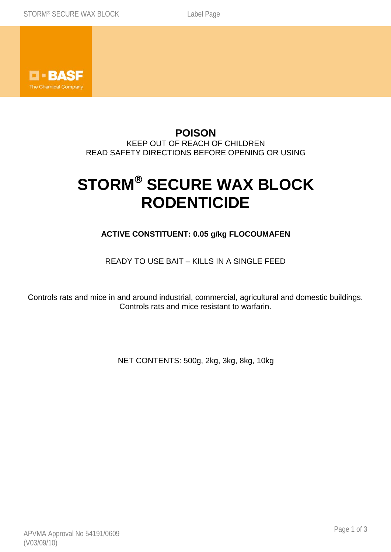

## **POISON** KEEP OUT OF REACH OF CHILDREN READ SAFETY DIRECTIONS BEFORE OPENING OR USING

# **STORM® SECURE WAX BLOCK RODENTICIDE**

# **ACTIVE CONSTITUENT: 0.05 g/kg FLOCOUMAFEN**

## READY TO USE BAIT – KILLS IN A SINGLE FEED

Controls rats and mice in and around industrial, commercial, agricultural and domestic buildings. Controls rats and mice resistant to warfarin.

NET CONTENTS: 500g, 2kg, 3kg, 8kg, 10kg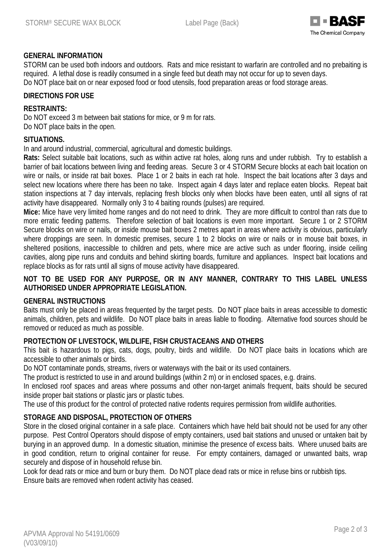

#### **GENERAL INFORMATION**

STORM can be used both indoors and outdoors. Rats and mice resistant to warfarin are controlled and no prebaiting is required. A lethal dose is readily consumed in a single feed but death may not occur for up to seven days. Do NOT place bait on or near exposed food or food utensils, food preparation areas or food storage areas.

#### **DIRECTIONS FOR USE**

#### **RESTRAINTS:**

Do NOT exceed 3 m between bait stations for mice, or 9 m for rats. Do NOT place baits in the open.

#### **SITUATIONS.**

In and around industrial, commercial, agricultural and domestic buildings.

**Rats:** Select suitable bait locations, such as within active rat holes, along runs and under rubbish. Try to establish a barrier of bait locations between living and feeding areas. Secure 3 or 4 STORM Secure blocks at each bait location on wire or nails, or inside rat bait boxes. Place 1 or 2 baits in each rat hole. Inspect the bait locations after 3 days and select new locations where there has been no take. Inspect again 4 days later and replace eaten blocks. Repeat bait station inspections at 7 day intervals, replacing fresh blocks only when blocks have been eaten, until all signs of rat activity have disappeared. Normally only 3 to 4 baiting rounds (pulses) are required.

**Mice:** Mice have very limited home ranges and do not need to drink. They are more difficult to control than rats due to more erratic feeding patterns. Therefore selection of bait locations is even more important. Secure 1 or 2 STORM Secure blocks on wire or nails, or inside mouse bait boxes 2 metres apart in areas where activity is obvious, particularly where droppings are seen. In domestic premises, secure 1 to 2 blocks on wire or nails or in mouse bait boxes, in sheltered positions, inaccessible to children and pets, where mice are active such as under flooring, inside ceiling cavities, along pipe runs and conduits and behind skirting boards, furniture and appliances. Inspect bait locations and replace blocks as for rats until all signs of mouse activity have disappeared.

#### **NOT TO BE USED FOR ANY PURPOSE, OR IN ANY MANNER, CONTRARY TO THIS LABEL UNLESS AUTHORISED UNDER APPROPRIATE LEGISLATION.**

#### **GENERAL INSTRUCTIONS**

Baits must only be placed in areas frequented by the target pests. Do NOT place baits in areas accessible to domestic animals, children, pets and wildlife. Do NOT place baits in areas liable to flooding. Alternative food sources should be removed or reduced as much as possible.

#### **PROTECTION OF LIVESTOCK, WILDLIFE, FISH CRUSTACEANS AND OTHERS**

This bait is hazardous to pigs, cats, dogs, poultry, birds and wildlife. Do NOT place baits in locations which are accessible to other animals or birds.

Do NOT contaminate ponds, streams, rivers or waterways with the bait or its used containers.

The product is restricted to use in and around buildings (within 2 m) or in enclosed spaces, e.g. drains.

In enclosed roof spaces and areas where possums and other non-target animals frequent, baits should be secured inside proper bait stations or plastic jars or plastic tubes.

The use of this product for the control of protected native rodents requires permission from wildlife authorities.

#### **STORAGE AND DISPOSAL, PROTECTION OF OTHERS**

Store in the closed original container in a safe place. Containers which have held bait should not be used for any other purpose. Pest Control Operators should dispose of empty containers, used bait stations and unused or untaken bait by burying in an approved dump. In a domestic situation, minimise the presence of excess baits. Where unused baits are in good condition, return to original container for reuse. For empty containers, damaged or unwanted baits, wrap securely and dispose of in household refuse bin.

Look for dead rats or mice and burn or bury them. Do NOT place dead rats or mice in refuse bins or rubbish tips. Ensure baits are removed when rodent activity has ceased.